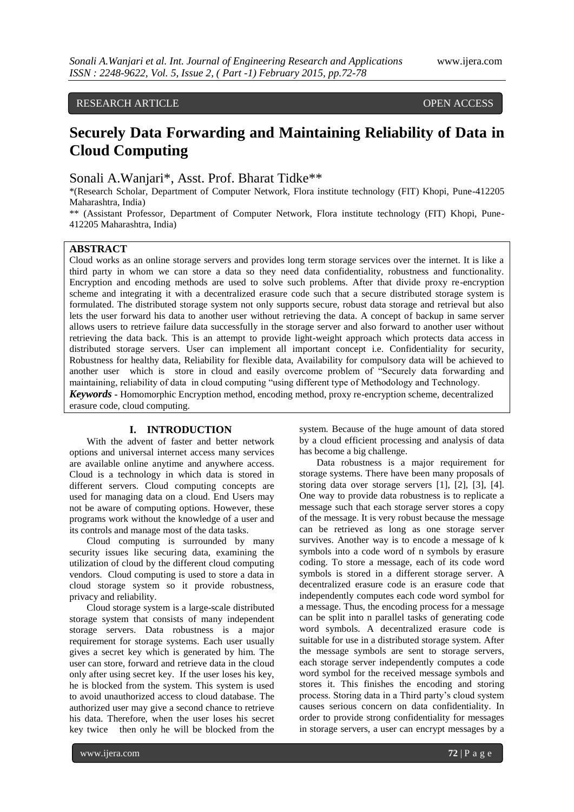# RESEARCH ARTICLE **CONSERVERS** OPEN ACCESS

# **Securely Data Forwarding and Maintaining Reliability of Data in Cloud Computing**

Sonali A.Wanjari\*, Asst. Prof. Bharat Tidke\*\*

\*(Research Scholar, Department of Computer Network, Flora institute technology (FIT) Khopi, Pune-412205 Maharashtra, India)

\*\* (Assistant Professor, Department of Computer Network, Flora institute technology (FIT) Khopi, Pune-412205 Maharashtra, India)

## **ABSTRACT**

Cloud works as an online storage servers and provides long term storage services over the internet. It is like a third party in whom we can store a data so they need data confidentiality, robustness and functionality. Encryption and encoding methods are used to solve such problems. After that divide proxy re-encryption scheme and integrating it with a decentralized erasure code such that a secure distributed storage system is formulated. The distributed storage system not only supports secure, robust data storage and retrieval but also lets the user forward his data to another user without retrieving the data. A concept of backup in same server allows users to retrieve failure data successfully in the storage server and also forward to another user without retrieving the data back. This is an attempt to provide light-weight approach which protects data access in distributed storage servers. User can implement all important concept i.e. Confidentiality for security, Robustness for healthy data, Reliability for flexible data, Availability for compulsory data will be achieved to another user which is store in cloud and easily overcome problem of "Securely data forwarding and maintaining, reliability of data in cloud computing "using different type of Methodology and Technology. *Keywords* **-** Homomorphic Encryption method, encoding method, proxy re-encryption scheme, decentralized erasure code, cloud computing.

#### **I. INTRODUCTION**

With the advent of faster and better network options and universal internet access many services are available online anytime and anywhere access. Cloud is a technology in which data is stored in different servers. Cloud computing concepts are used for managing data on a cloud. End Users may not be aware of computing options. However, these programs work without the knowledge of a user and its controls and manage most of the data tasks.

Cloud computing is surrounded by many security issues like securing data, examining the utilization of cloud by the different cloud computing vendors. Cloud computing is used to store a data in cloud storage system so it provide robustness, privacy and reliability.

Cloud storage system is a large-scale distributed storage system that consists of many independent storage servers. Data robustness is a major requirement for storage systems. Each user usually gives a secret key which is generated by him. The user can store, forward and retrieve data in the cloud only after using secret key. If the user loses his key, he is blocked from the system. This system is used to avoid unauthorized access to cloud database. The authorized user may give a second chance to retrieve his data. Therefore, when the user loses his secret key twice then only he will be blocked from the

system. Because of the huge amount of data stored by a cloud efficient processing and analysis of data has become a big challenge.

Data robustness is a major requirement for storage systems. There have been many proposals of storing data over storage servers [1], [2], [3], [4]. One way to provide data robustness is to replicate a message such that each storage server stores a copy of the message. It is very robust because the message can be retrieved as long as one storage server survives. Another way is to encode a message of k symbols into a code word of n symbols by erasure coding. To store a message, each of its code word symbols is stored in a different storage server. A decentralized erasure code is an erasure code that independently computes each code word symbol for a message. Thus, the encoding process for a message can be split into n parallel tasks of generating code word symbols. A decentralized erasure code is suitable for use in a distributed storage system. After the message symbols are sent to storage servers, each storage server independently computes a code word symbol for the received message symbols and stores it. This finishes the encoding and storing process. Storing data in a Third party"s cloud system causes serious concern on data confidentiality. In order to provide strong confidentiality for messages in storage servers, a user can encrypt messages by a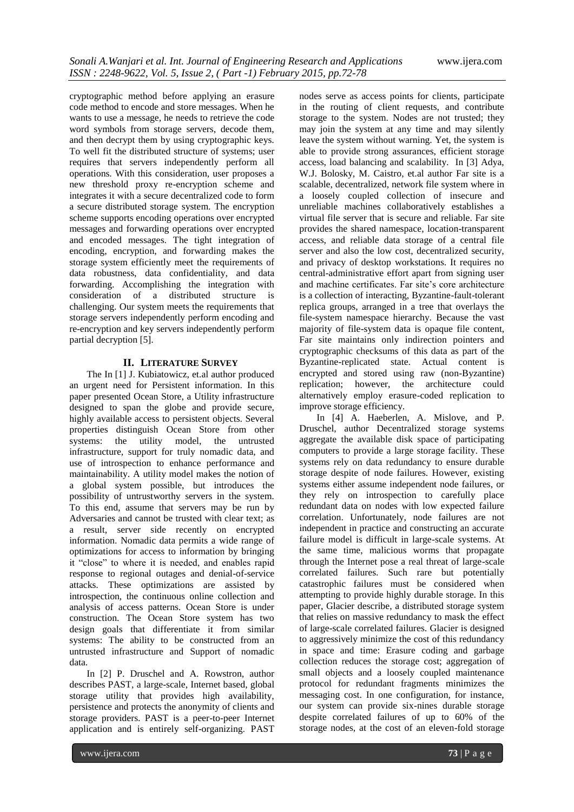cryptographic method before applying an erasure code method to encode and store messages. When he wants to use a message, he needs to retrieve the code word symbols from storage servers, decode them, and then decrypt them by using cryptographic keys. To well fit the distributed structure of systems; user requires that servers independently perform all operations. With this consideration, user proposes a new threshold proxy re-encryption scheme and integrates it with a secure decentralized code to form a secure distributed storage system. The encryption scheme supports encoding operations over encrypted messages and forwarding operations over encrypted and encoded messages. The tight integration of encoding, encryption, and forwarding makes the storage system efficiently meet the requirements of data robustness, data confidentiality, and data forwarding. Accomplishing the integration with consideration of a distributed structure is challenging. Our system meets the requirements that storage servers independently perform encoding and re-encryption and key servers independently perform partial decryption [5].

## **II. LITERATURE SURVEY**

The In [1] J. Kubiatowicz, et.al author produced an urgent need for Persistent information. In this paper presented Ocean Store, a Utility infrastructure designed to span the globe and provide secure, highly available access to persistent objects. Several properties distinguish Ocean Store from other systems: the utility model, the untrusted infrastructure, support for truly nomadic data, and use of introspection to enhance performance and maintainability. A utility model makes the notion of a global system possible, but introduces the possibility of untrustworthy servers in the system. To this end, assume that servers may be run by Adversaries and cannot be trusted with clear text; as a result, server side recently on encrypted information. Nomadic data permits a wide range of optimizations for access to information by bringing it "close" to where it is needed, and enables rapid response to regional outages and denial-of-service attacks. These optimizations are assisted by introspection, the continuous online collection and analysis of access patterns. Ocean Store is under construction. The Ocean Store system has two design goals that differentiate it from similar systems: The ability to be constructed from an untrusted infrastructure and Support of nomadic data.

In [2] P. Druschel and A. Rowstron, author describes PAST, a large-scale, Internet based, global storage utility that provides high availability, persistence and protects the anonymity of clients and storage providers. PAST is a peer-to-peer Internet application and is entirely self-organizing. PAST

nodes serve as access points for clients, participate in the routing of client requests, and contribute storage to the system. Nodes are not trusted; they may join the system at any time and may silently leave the system without warning. Yet, the system is able to provide strong assurances, efficient storage access, load balancing and scalability. In [3] Adya, W.J. Bolosky, M. Caistro, et.al author Far site is a scalable, decentralized, network file system where in a loosely coupled collection of insecure and unreliable machines collaboratively establishes a virtual file server that is secure and reliable. Far site provides the shared namespace, location-transparent access, and reliable data storage of a central file server and also the low cost, decentralized security, and privacy of desktop workstations. It requires no central-administrative effort apart from signing user and machine certificates. Far site"s core architecture is a collection of interacting, Byzantine-fault-tolerant replica groups, arranged in a tree that overlays the file-system namespace hierarchy. Because the vast majority of file-system data is opaque file content, Far site maintains only indirection pointers and cryptographic checksums of this data as part of the Byzantine-replicated state. Actual content is encrypted and stored using raw (non-Byzantine) replication; however, the architecture could alternatively employ erasure-coded replication to improve storage efficiency.

In [4] A. Haeberlen, A. Mislove, and P. Druschel, author Decentralized storage systems aggregate the available disk space of participating computers to provide a large storage facility. These systems rely on data redundancy to ensure durable storage despite of node failures. However, existing systems either assume independent node failures, or they rely on introspection to carefully place redundant data on nodes with low expected failure correlation. Unfortunately, node failures are not independent in practice and constructing an accurate failure model is difficult in large-scale systems. At the same time, malicious worms that propagate through the Internet pose a real threat of large-scale correlated failures. Such rare but potentially catastrophic failures must be considered when attempting to provide highly durable storage. In this paper, Glacier describe, a distributed storage system that relies on massive redundancy to mask the effect of large-scale correlated failures. Glacier is designed to aggressively minimize the cost of this redundancy in space and time: Erasure coding and garbage collection reduces the storage cost; aggregation of small objects and a loosely coupled maintenance protocol for redundant fragments minimizes the messaging cost. In one configuration, for instance, our system can provide six-nines durable storage despite correlated failures of up to 60% of the storage nodes, at the cost of an eleven-fold storage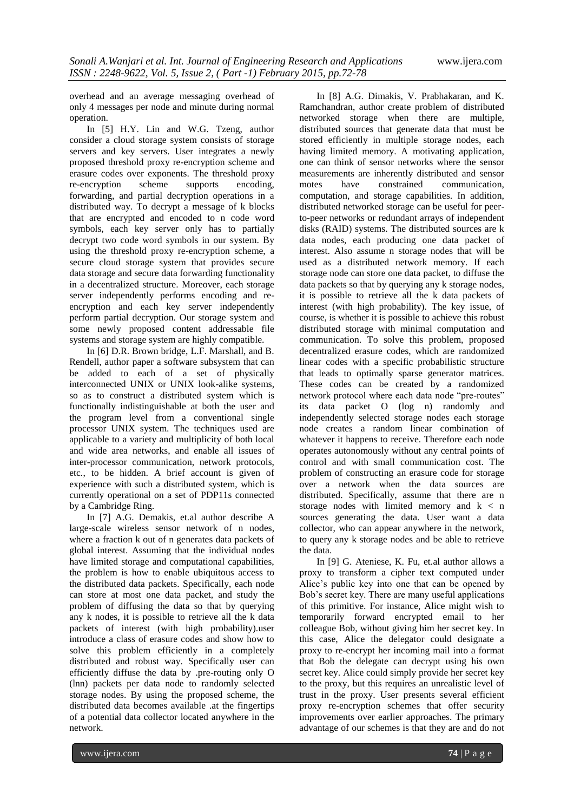overhead and an average messaging overhead of only 4 messages per node and minute during normal operation.

In [5] H.Y. Lin and W.G. Tzeng, author consider a cloud storage system consists of storage servers and key servers. User integrates a newly proposed threshold proxy re-encryption scheme and erasure codes over exponents. The threshold proxy re-encryption scheme supports encoding, forwarding, and partial decryption operations in a distributed way. To decrypt a message of k blocks that are encrypted and encoded to n code word symbols, each key server only has to partially decrypt two code word symbols in our system. By using the threshold proxy re-encryption scheme, a secure cloud storage system that provides secure data storage and secure data forwarding functionality in a decentralized structure. Moreover, each storage server independently performs encoding and reencryption and each key server independently perform partial decryption. Our storage system and some newly proposed content addressable file systems and storage system are highly compatible.

In [6] D.R. Brown bridge, L.F. Marshall, and B. Rendell, author paper a software subsystem that can be added to each of a set of physically interconnected UNIX or UNIX look-alike systems, so as to construct a distributed system which is functionally indistinguishable at both the user and the program level from a conventional single processor UNIX system. The techniques used are applicable to a variety and multiplicity of both local and wide area networks, and enable all issues of inter-processor communication, network protocols, etc., to be hidden. A brief account is given of experience with such a distributed system, which is currently operational on a set of PDP11s connected by a Cambridge Ring.

In [7] A.G. Demakis, et.al author describe A large-scale wireless sensor network of n nodes, where a fraction k out of n generates data packets of global interest. Assuming that the individual nodes have limited storage and computational capabilities, the problem is how to enable ubiquitous access to the distributed data packets. Specifically, each node can store at most one data packet, and study the problem of diffusing the data so that by querying any k nodes, it is possible to retrieve all the k data packets of interest (with high probability).user introduce a class of erasure codes and show how to solve this problem efficiently in a completely distributed and robust way. Specifically user can efficiently diffuse the data by .pre-routing only O (lnn) packets per data node to randomly selected storage nodes. By using the proposed scheme, the distributed data becomes available .at the fingertips of a potential data collector located anywhere in the network.

In [8] A.G. Dimakis, V. Prabhakaran, and K. Ramchandran, author create problem of distributed networked storage when there are multiple, distributed sources that generate data that must be stored efficiently in multiple storage nodes, each having limited memory. A motivating application, one can think of sensor networks where the sensor measurements are inherently distributed and sensor motes have constrained communication, computation, and storage capabilities. In addition, distributed networked storage can be useful for peerto-peer networks or redundant arrays of independent disks (RAID) systems. The distributed sources are k data nodes, each producing one data packet of interest. Also assume n storage nodes that will be used as a distributed network memory. If each storage node can store one data packet, to diffuse the data packets so that by querying any k storage nodes, it is possible to retrieve all the k data packets of interest (with high probability). The key issue, of course, is whether it is possible to achieve this robust distributed storage with minimal computation and communication. To solve this problem, proposed decentralized erasure codes, which are randomized linear codes with a specific probabilistic structure that leads to optimally sparse generator matrices. These codes can be created by a randomized network protocol where each data node "pre-routes" its data packet O (log n) randomly and independently selected storage nodes each storage node creates a random linear combination of whatever it happens to receive. Therefore each node operates autonomously without any central points of control and with small communication cost. The problem of constructing an erasure code for storage over a network when the data sources are distributed. Specifically, assume that there are n storage nodes with limited memory and k < n sources generating the data. User want a data collector, who can appear anywhere in the network, to query any k storage nodes and be able to retrieve the data.

In [9] G. Ateniese, K. Fu, et.al author allows a proxy to transform a cipher text computed under Alice"s public key into one that can be opened by Bob"s secret key. There are many useful applications of this primitive. For instance, Alice might wish to temporarily forward encrypted email to her colleague Bob, without giving him her secret key. In this case, Alice the delegator could designate a proxy to re-encrypt her incoming mail into a format that Bob the delegate can decrypt using his own secret key. Alice could simply provide her secret key to the proxy, but this requires an unrealistic level of trust in the proxy. User presents several efficient proxy re-encryption schemes that offer security improvements over earlier approaches. The primary advantage of our schemes is that they are and do not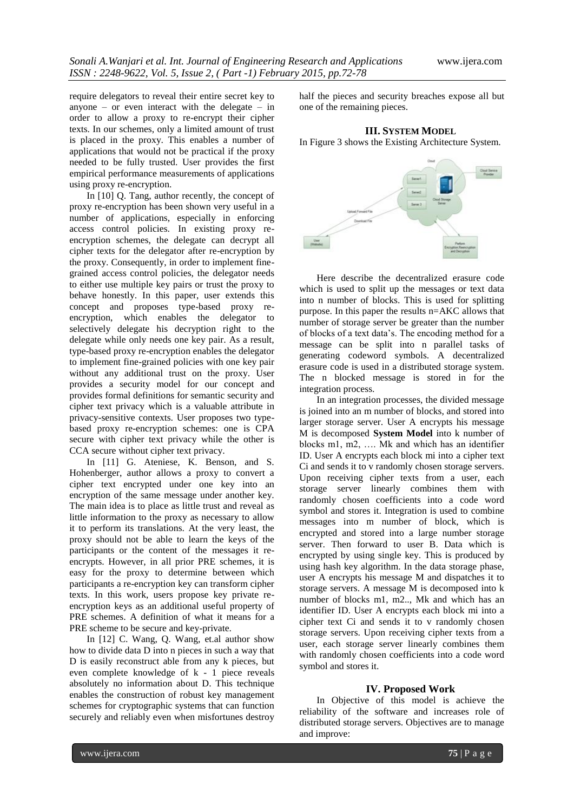require delegators to reveal their entire secret key to anyone – or even interact with the delegate – in order to allow a proxy to re-encrypt their cipher texts. In our schemes, only a limited amount of trust is placed in the proxy. This enables a number of applications that would not be practical if the proxy needed to be fully trusted. User provides the first empirical performance measurements of applications using proxy re-encryption.

In [10] Q. Tang, author recently, the concept of proxy re-encryption has been shown very useful in a number of applications, especially in enforcing access control policies. In existing proxy reencryption schemes, the delegate can decrypt all cipher texts for the delegator after re-encryption by the proxy. Consequently, in order to implement finegrained access control policies, the delegator needs to either use multiple key pairs or trust the proxy to behave honestly. In this paper, user extends this concept and proposes type-based proxy reencryption, which enables the delegator to selectively delegate his decryption right to the delegate while only needs one key pair. As a result, type-based proxy re-encryption enables the delegator to implement fine-grained policies with one key pair without any additional trust on the proxy. User provides a security model for our concept and provides formal definitions for semantic security and cipher text privacy which is a valuable attribute in privacy-sensitive contexts. User proposes two typebased proxy re-encryption schemes: one is CPA secure with cipher text privacy while the other is CCA secure without cipher text privacy.

In [11] G. Ateniese, K. Benson, and S. Hohenberger, author allows a proxy to convert a cipher text encrypted under one key into an encryption of the same message under another key. The main idea is to place as little trust and reveal as little information to the proxy as necessary to allow it to perform its translations. At the very least, the proxy should not be able to learn the keys of the participants or the content of the messages it reencrypts. However, in all prior PRE schemes, it is easy for the proxy to determine between which participants a re-encryption key can transform cipher texts. In this work, users propose key private reencryption keys as an additional useful property of PRE schemes. A definition of what it means for a PRE scheme to be secure and key-private.

In [12] C. Wang, Q. Wang, et.al author show how to divide data D into n pieces in such a way that D is easily reconstruct able from any k pieces, but even complete knowledge of k - 1 piece reveals absolutely no information about D. This technique enables the construction of robust key management schemes for cryptographic systems that can function securely and reliably even when misfortunes destroy

half the pieces and security breaches expose all but one of the remaining pieces.

## **III. SYSTEM MODEL**

In Figure 3 shows the Existing Architecture System.



Here describe the decentralized erasure code which is used to split up the messages or text data into n number of blocks. This is used for splitting purpose. In this paper the results n=AKC allows that number of storage server be greater than the number of blocks of a text data"s. The encoding method for a message can be split into n parallel tasks of generating codeword symbols. A decentralized erasure code is used in a distributed storage system. The n blocked message is stored in for the integration process.

In an integration processes, the divided message is joined into an m number of blocks, and stored into larger storage server. User A encrypts his message M is decomposed **System Model** into k number of blocks m1, m2, …. Mk and which has an identifier ID. User A encrypts each block mi into a cipher text Ci and sends it to v randomly chosen storage servers. Upon receiving cipher texts from a user, each storage server linearly combines them with randomly chosen coefficients into a code word symbol and stores it. Integration is used to combine messages into m number of block, which is encrypted and stored into a large number storage server. Then forward to user B. Data which is encrypted by using single key. This is produced by using hash key algorithm. In the data storage phase, user A encrypts his message M and dispatches it to storage servers. A message M is decomposed into k number of blocks m1, m2.., Mk and which has an identifier ID. User A encrypts each block mi into a cipher text Ci and sends it to v randomly chosen storage servers. Upon receiving cipher texts from a user, each storage server linearly combines them with randomly chosen coefficients into a code word symbol and stores it.

## **IV. Proposed Work**

In Objective of this model is achieve the reliability of the software and increases role of distributed storage servers. Objectives are to manage and improve: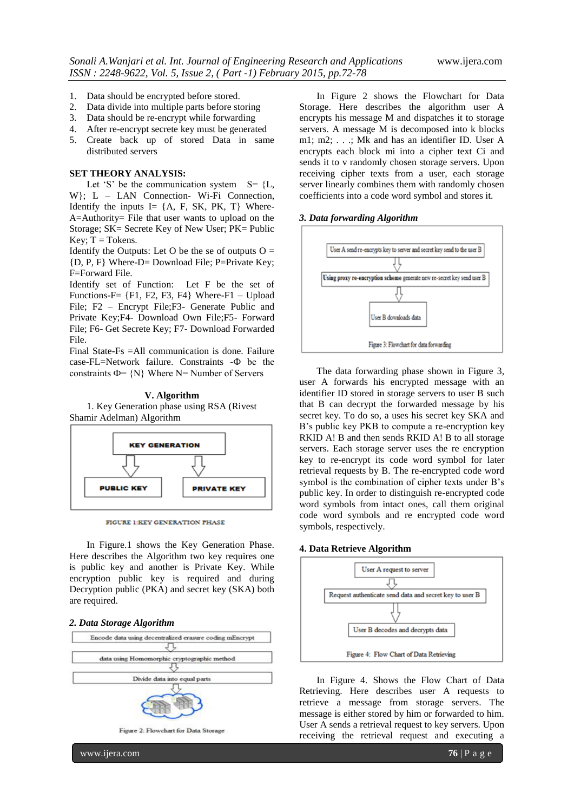- 1. Data should be encrypted before stored.
- 2. Data divide into multiple parts before storing
- 3. Data should be re-encrypt while forwarding
- 4. After re-encrypt secrete key must be generated
- 5. Create back up of stored Data in same distributed servers

## **SET THEORY ANALYSIS:**

Let 'S' be the communication system  $S = \{L,$ W}; L - LAN Connection- Wi-Fi Connection, Identify the inputs I=  $\{A, F, SK, PK, T\}$  Where-A=Authority= File that user wants to upload on the Storage; SK= Secrete Key of New User; PK= Public Key;  $T = T$ okens.

Identify the Outputs: Let O be the se of outputs  $O =$ {D, P, F} Where-D= Download File; P=Private Key; F=Forward File.

Identify set of Function: Let F be the set of Functions-F=  ${F1, F2, F3, F4}$  Where-F1 – Upload File; F2 – Encrypt File;F3- Generate Public and Private Key;F4- Download Own File;F5- Forward File; F6- Get Secrete Key; F7- Download Forwarded File.

Final State-Fs =All communication is done. Failure case-FL=Network failure. Constraints -Ф be the constraints  $\Phi$ = {N} Where N= Number of Servers

## **V. Algorithm**

1. Key Generation phase using RSA (Rivest Shamir Adelman) Algorithm



FIGURE 1:KEY GENERATION PHASE

In Figure.1 shows the Key Generation Phase. Here describes the Algorithm two key requires one is public key and another is Private Key. While encryption public key is required and during Decryption public (PKA) and secret key (SKA) both are required.

#### *2. Data Storage Algorithm*



In Figure 2 shows the Flowchart for Data Storage. Here describes the algorithm user A encrypts his message M and dispatches it to storage servers. A message M is decomposed into k blocks m1; m2; . . .; Mk and has an identifier ID. User A encrypts each block mi into a cipher text Ci and sends it to v randomly chosen storage servers. Upon receiving cipher texts from a user, each storage server linearly combines them with randomly chosen coefficients into a code word symbol and stores it.

#### *3. Data forwarding Algorithm*



The data forwarding phase shown in Figure 3, user A forwards his encrypted message with an identifier ID stored in storage servers to user B such that B can decrypt the forwarded message by his secret key. To do so, a uses his secret key SKA and B"s public key PKB to compute a re-encryption key RKID A! B and then sends RKID A! B to all storage servers. Each storage server uses the re encryption key to re-encrypt its code word symbol for later retrieval requests by B. The re-encrypted code word symbol is the combination of cipher texts under B's public key. In order to distinguish re-encrypted code word symbols from intact ones, call them original code word symbols and re encrypted code word symbols, respectively.

#### **4. Data Retrieve Algorithm**



In Figure 4. Shows the Flow Chart of Data Retrieving. Here describes user A requests to retrieve a message from storage servers. The message is either stored by him or forwarded to him. User A sends a retrieval request to key servers. Upon receiving the retrieval request and executing a

www.ijera.com **76** | P a g e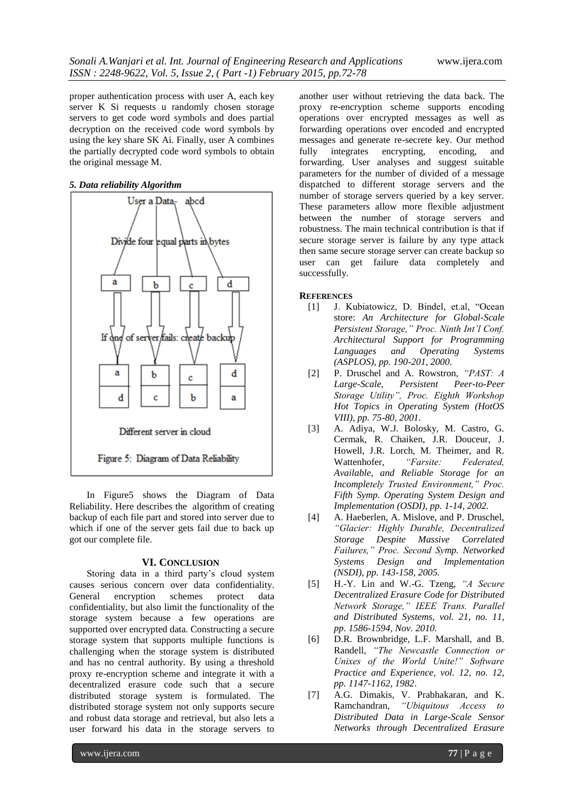proper authentication process with user A, each key server K Si requests u randomly chosen storage servers to get code word symbols and does partial decryption on the received code word symbols by using the key share SK Ai. Finally, user A combines the partially decrypted code word symbols to obtain the original message M.

#### *5. Data reliability Algorithm*



In Figure5 shows the Diagram of Data Reliability. Here describes the algorithm of creating backup of each file part and stored into server due to which if one of the server gets fail due to back up got our complete file.

#### **VI. CONCLUSION**

Storing data in a third party's cloud system causes serious concern over data confidentiality. General encryption schemes protect data confidentiality, but also limit the functionality of the storage system because a few operations are supported over encrypted data. Constructing a secure storage system that supports multiple functions is challenging when the storage system is distributed and has no central authority. By using a threshold proxy re-encryption scheme and integrate it with a decentralized erasure code such that a secure distributed storage system is formulated. The distributed storage system not only supports secure and robust data storage and retrieval, but also lets a user forward his data in the storage servers to

another user without retrieving the data back. The proxy re-encryption scheme supports encoding operations over encrypted messages as well as forwarding operations over encoded and encrypted messages and generate re-secrete key. Our method fully integrates encrypting, encoding, and forwarding. User analyses and suggest suitable parameters for the number of divided of a message dispatched to different storage servers and the number of storage servers queried by a key server. These parameters allow more flexible adjustment between the number of storage servers and robustness. The main technical contribution is that if secure storage server is failure by any type attack then same secure storage server can create backup so user can get failure data completely and successfully.

## **REFERENCES**

- [1] J. Kubiatowicz, D. Bindel, et.al, "Ocean store: *An Architecture for Global-Scale Persistent Storage," Proc. Ninth Int'l Conf. Architectural Support for Programming Languages and Operating Systems (ASPLOS), pp. 190-201, 2000.*
- [2] P. Druschel and A. Rowstron, *"PAST: A Large-Scale, Persistent Peer-to-Peer Storage Utility", Proc. Eighth Workshop Hot Topics in Operating System (HotOS VIII), pp. 75-80, 2001.*
- [3] A. Adiya, W.J. Bolosky, M. Castro, G. Cermak, R. Chaiken, J.R. Douceur, J. Howell, J.R. Lorch, M. Theimer, and R. Wattenhofer, *"Farsite: Federated, Available, and Reliable Storage for an Incompletely Trusted Environment," Proc. Fifth Symp. Operating System Design and Implementation (OSDI), pp. 1-14, 2002.*
- [4] A. Haeberlen, A. Mislove, and P. Druschel, *"Glacier: Highly Durable, Decentralized Storage Despite Massive Correlated Failures," Proc. Second Symp. Networked Systems Design and Implementation (NSDI), pp. 143-158, 2005.*
- [5] H.-Y. Lin and W.-G. Tzeng, *"A Secure Decentralized Erasure Code for Distributed Network Storage," IEEE Trans. Parallel and Distributed Systems, vol. 21, no. 11, pp. 1586-1594, Nov. 2010.*
- [6] D.R. Brownbridge, L.F. Marshall, and B. Randell, *"The Newcastle Connection or Unixes of the World Unite!" Software Practice and Experience, vol. 12, no. 12, pp. 1147-1162, 1982*.
- [7] A.G. Dimakis, V. Prabhakaran, and K. Ramchandran, *"Ubiquitous Access to Distributed Data in Large-Scale Sensor Networks through Decentralized Erasure*